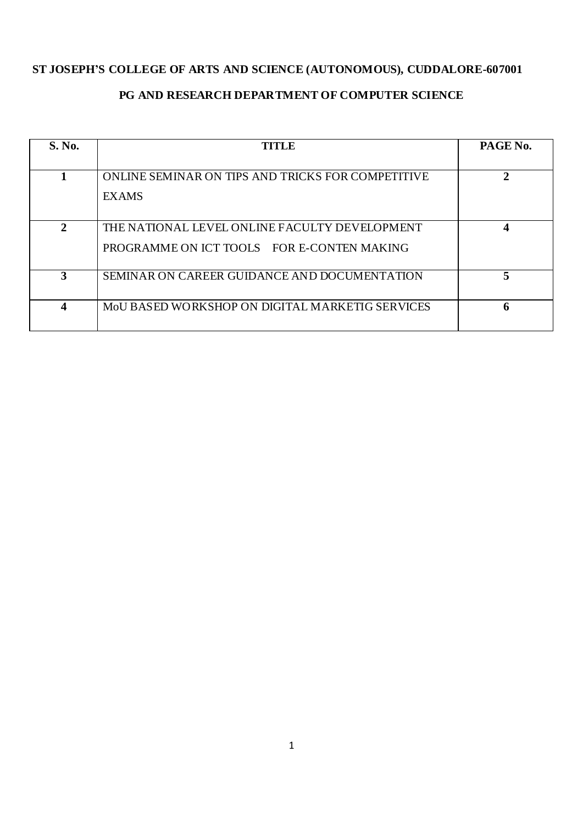## **ST JOSEPH'S COLLEGE OF ARTS AND SCIENCE (AUTONOMOUS), CUDDALORE-607001**

# **PG AND RESEARCH DEPARTMENT OF COMPUTER SCIENCE**

| S. No.       | <b>TITLE</b>                                                                                | PAGE No. |  |
|--------------|---------------------------------------------------------------------------------------------|----------|--|
|              | ONLINE SEMINAR ON TIPS AND TRICKS FOR COMPETITIVE<br><b>EXAMS</b>                           | 2        |  |
| $\mathbf{2}$ | THE NATIONAL LEVEL ONLINE FACULTY DEVELOPMENT<br>PROGRAMME ON ICT TOOLS FOR E-CONTEN MAKING | 4        |  |
| 3            | SEMINAR ON CAREER GUIDANCE AND DOCUMENTATION                                                | 5        |  |
| 4            | MOU BASED WORKSHOP ON DIGITAL MARKETIG SERVICES                                             | 6        |  |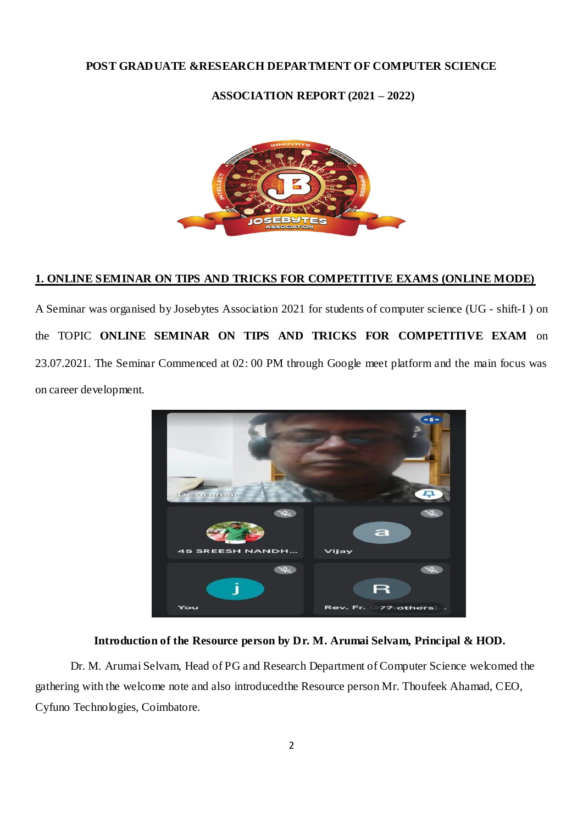## **POST GRADUATE &RESEARCH DEPARTMENT OF COMPUTER SCIENCE**

## **ASSOCIATION REPORT (2021 – 2022)**



#### **1. ONLINE SEMINAR ON TIPS AND TRICKS FOR COMPETITIVE EXAMS (ONLINE MODE)**

A Seminar was organised by Josebytes Association 2021 for students of computer science (UG - shift-I ) on the TOPIC **ONLINE SEMINAR ON TIPS AND TRICKS FOR COMPETITIVE EXAM** on 23.07.2021. The Seminar Commenced at 02: 00 PM through Google meet platform and the main focus was on career development.



#### **Introduction of the Resource person by Dr. M. Arumai Selvam, Principal & HOD.**

Dr. M. Arumai Selvam, Head of PG and Research Department of Computer Science welcomed the gathering with the welcome note and also introducedthe Resource person Mr. Thoufeek Ahamad, CEO, Cyfuno Technologies, Coimbatore.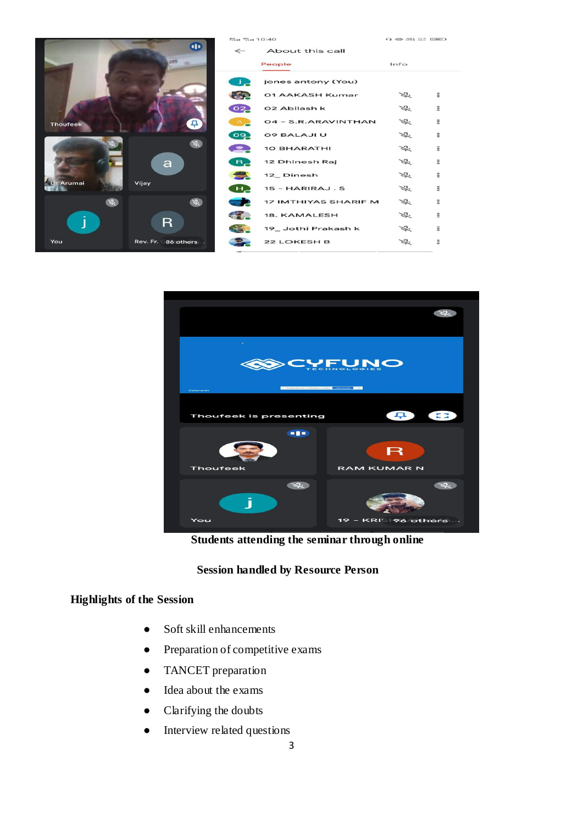|                 |                      | <b>22.1 <sup>42</sup>.11 10:40</b> |                      |               | C3 HED 2023 22/2 (EERE) |  |
|-----------------|----------------------|------------------------------------|----------------------|---------------|-------------------------|--|
|                 | $\bullet$            | $\leftarrow$                       | About this call      |               |                         |  |
|                 |                      |                                    | People               | Info          |                         |  |
|                 |                      | 工厂                                 | jones antony (You)   |               |                         |  |
|                 |                      | å.                                 | 01 AAKASH Kumar      | $\mathcal{Z}$ | Ξ                       |  |
|                 |                      | 02                                 | 02 Abilash k         | $\frac{1}{2}$ | Ξ                       |  |
| <b>Thoufeek</b> | 早                    |                                    | 04 - S.R.ARAVINTHAN  | 岑             | Ξ                       |  |
|                 |                      | စြခ္                               | <b>09 BALAJI U</b>   | 岑             | Ξ                       |  |
|                 | $\mathscr{L}$        |                                    | <b>10 BHARATHI</b>   | 岑             | Ξ                       |  |
|                 | $\mathbf{a}$         | $B_{2}$                            | 12 Dhinesh Raj       | $\frac{1}{2}$ | Ξ                       |  |
|                 |                      |                                    | 12_Dinesh            | L.            | $\ddot{ }$              |  |
| Dr Arumai       | Vijay                | н,                                 | 15 - HARIRAJ.S       | ぶ             | Ξ                       |  |
| 咨               | $\mathscr{R}$        |                                    | 17 IMTHIYAS SHARIF M | L.            | Ξ                       |  |
|                 |                      |                                    | 18. KAMALESH         | ぶ             | Ξ                       |  |
|                 | R                    |                                    | 19_Jothi Prakash k   | Ź.            | Ξ                       |  |
| You             | Rev. Fr. 86 others . |                                    | <b>22 LOKESH B</b>   | ぶ             | Ξ                       |  |
|                 |                      |                                    |                      |               |                         |  |



 **Students attending the seminar through online**

## **Session handled by Resource Person**

## **Highlights of the Session**

- Soft skill enhancements
- Preparation of competitive exams
- TANCET preparation
- Idea about the exams
- Clarifying the doubts
- Interview related questions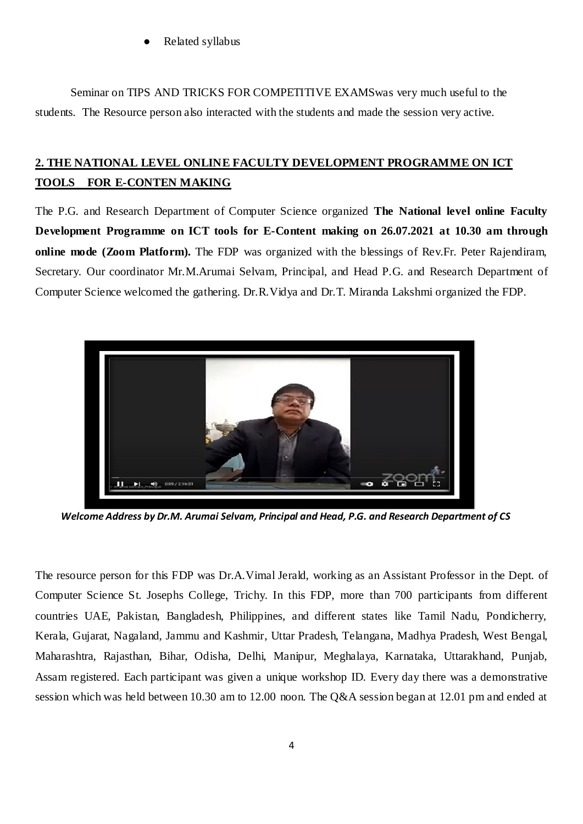Related syllabus

Seminar on TIPS AND TRICKS FOR COMPETITIVE EXAMSwas very much useful to the students. The Resource person also interacted with the students and made the session very active.

# **2. THE NATIONAL LEVEL ONLINE FACULTY DEVELOPMENT PROGRAMME ON ICT TOOLS FOR E-CONTEN MAKING**

The P.G. and Research Department of Computer Science organized **The National level online Faculty Development Programme on ICT tools for E-Content making on 26.07.2021 at 10.30 am through online mode (Zoom Platform).** The FDP was organized with the blessings of Rev.Fr. Peter Rajendiram, Secretary. Our coordinator Mr.M.Arumai Selvam, Principal, and Head P.G. and Research Department of Computer Science welcomed the gathering. Dr.R.Vidya and Dr.T. Miranda Lakshmi organized the FDP.



 *Welcome Address by Dr.M. Arumai Selvam, Principal and Head, P.G. and Research Department of CS* 

The resource person for this FDP was Dr.A.Vimal Jerald, working as an Assistant Professor in the Dept. of Computer Science St. Josephs College, Trichy. In this FDP, more than 700 participants from different countries UAE, Pakistan, Bangladesh, Philippines, and different states like Tamil Nadu, Pondicherry, Kerala, Gujarat, Nagaland, Jammu and Kashmir, Uttar Pradesh, Telangana, Madhya Pradesh, West Bengal, Maharashtra, Rajasthan, Bihar, Odisha, Delhi, Manipur, Meghalaya, Karnataka, Uttarakhand, Punjab, Assam registered. Each participant was given a unique workshop ID. Every day there was a demonstrative session which was held between 10.30 am to 12.00 noon. The Q&A session began at 12.01 pm and ended at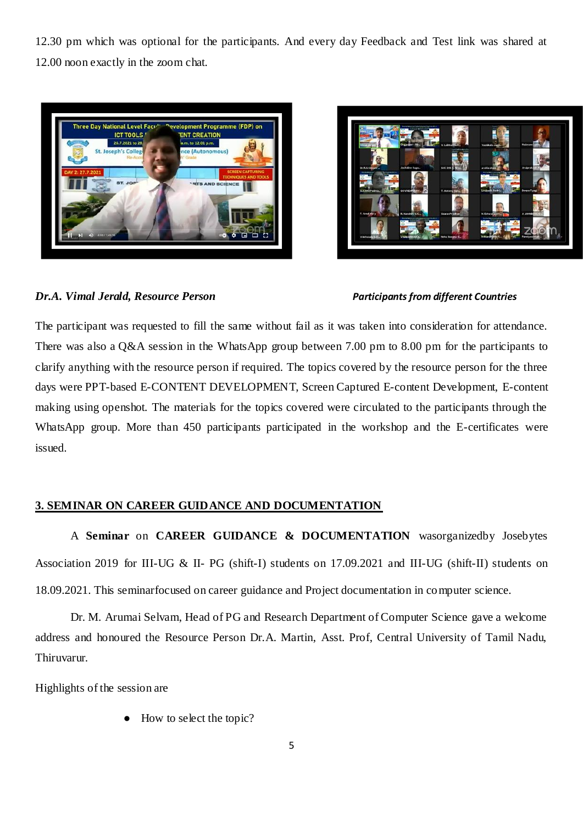12.30 pm which was optional for the participants. And every day Feedback and Test link was shared at 12.00 noon exactly in the zoom chat.





## *Dr.A. Vimal Jerald, Resource Person Participants from different Countries*

The participant was requested to fill the same without fail as it was taken into consideration for attendance. There was also a Q&A session in the WhatsApp group between 7.00 pm to 8.00 pm for the participants to clarify anything with the resource person if required. The topics covered by the resource person for the three days were PPT-based E-CONTENT DEVELOPMENT, Screen Captured E-content Development, E-content making using openshot. The materials for the topics covered were circulated to the participants through the WhatsApp group. More than 450 participants participated in the workshop and the E-certificates were issued.

## **3. SEMINAR ON CAREER GUIDANCE AND DOCUMENTATION**

A **Seminar** on **CAREER GUIDANCE & DOCUMENTATION** wasorganizedby Josebytes Association 2019 for III-UG & II- PG (shift-I) students on 17.09.2021 and III-UG (shift-II) students on 18.09.2021. This seminarfocused on career guidance and Project documentation in computer science.

Dr. M. Arumai Selvam, Head of PG and Research Department of Computer Science gave a welcome address and honoured the Resource Person Dr.A. Martin, Asst. Prof, Central University of Tamil Nadu, Thiruvarur.

Highlights of the session are

How to select the topic?